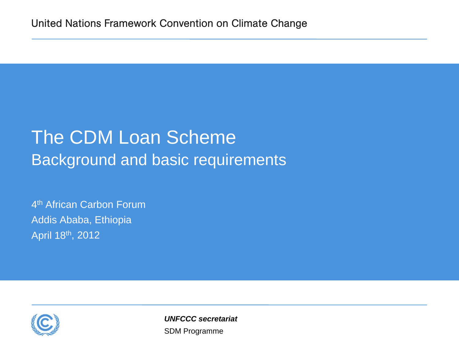## The CDM Loan Scheme Background and basic requirements

4<sup>th</sup> African Carbon Forum Addis Ababa, Ethiopia April 18th, 2012



SDM Programme *UNFCCC secretariat*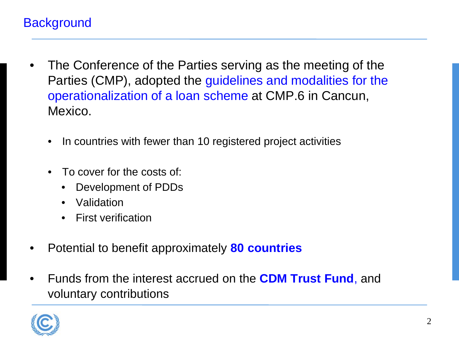## **Background**

- The Conference of the Parties serving as the meeting of the Parties (CMP), adopted the guidelines and modalities for the operationalization of a loan scheme at CMP.6 in Cancun, Mexico.
	- In countries with fewer than 10 registered project activities
	- To cover for the costs of:
		- Development of PDDs
		- Validation
		- First verification
- Potential to benefit approximately **80 countries**
- Funds from the interest accrued on the **CDM Trust Fund**, and voluntary contributions

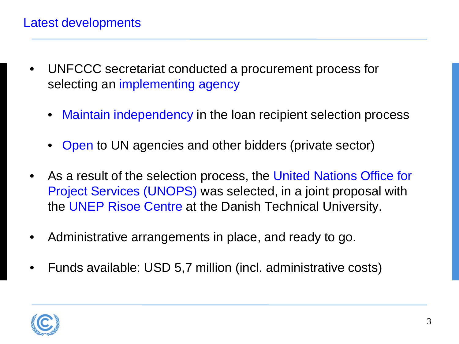- UNFCCC secretariat conducted a procurement process for selecting an implementing agency
	- Maintain independency in the loan recipient selection process
	- Open to UN agencies and other bidders (private sector)
- As a result of the selection process, the United Nations Office for Project Services (UNOPS) was selected, in a joint proposal with the UNEP Risoe Centre at the Danish Technical University.
- Administrative arrangements in place, and ready to go.
- Funds available: USD 5,7 million (incl. administrative costs)

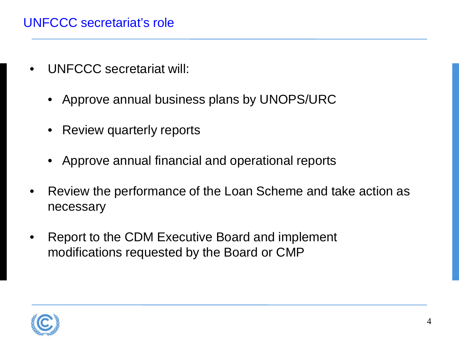## UNFCCC secretariat's role

- UNFCCC secretariat will:
	- Approve annual business plans by UNOPS/URC
	- Review quarterly reports
	- Approve annual financial and operational reports
- Review the performance of the Loan Scheme and take action as necessary
- Report to the CDM Executive Board and implement modifications requested by the Board or CMP